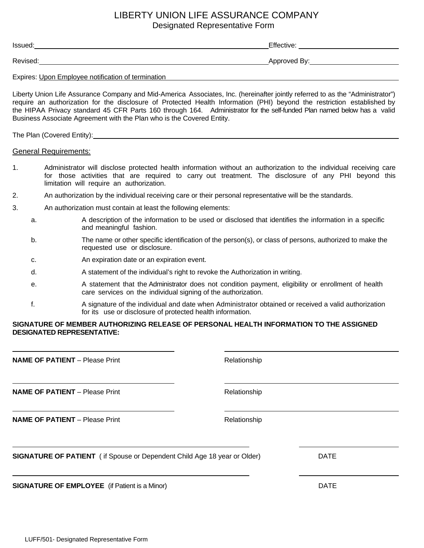# LIBERTY UNION LIFE ASSURANCE COMPANY Designated Representative Form

Issued: Effective: Revised: Approved By:

Expires: Upon Employee notification of termination

Liberty Union Life Assurance Company and Mid-America Associates, Inc. (hereinafter jointly referred to as the "Administrator") require an authorization for the disclosure of Protected Health Information (PHI) beyond the restriction established by the HIPAA Privacy standard 45 CFR Parts 160 through 164. Administrator for the self-funded Plan named below has a valid Business Associate Agreement with the Plan who is the Covered Entity.

The Plan (Covered Entity): Manual Annual Annual Annual Annual Annual Annual Annual Annual Annual Annual Annual

### General Requirements:

- 1. Administrator will disclose protected health information without an authorization to the individual receiving care for those activities that are required to carry out treatment. The disclosure of any PHI beyond this limitation will require an authorization.
- 2. An authorization by the individual receiving care or their personal representative will be the standards.
- 3. An authorization must contain at least the following elements:
	- a. A description of the information to be used or disclosed that identifies the information in a specific and meaningful fashion.
	- b. The name or other specific identification of the person(s), or class of persons, authorized to make the requested use or disclosure.
	- c. An expiration date or an expiration event.
	- d. A statement of the individual's right to revoke the Authorization in writing.
	- e. A statement that the Administrator does not condition payment, eligibility or enrollment of health care services on the individual signing of the authorization.
	- f. A signature of the individual and date when Administrator obtained or received a valid authorization for its use or disclosure of protected health information.

### **SIGNATURE OF MEMBER AUTHORIZING RELEASE OF PERSONAL HEALTH INFORMATION TO THE ASSIGNED DESIGNATED REPRESENTATIVE:**

| <b>NAME OF PATIENT</b> - Please Print                                           | Relationship |             |
|---------------------------------------------------------------------------------|--------------|-------------|
| <b>NAME OF PATIENT</b> - Please Print                                           | Relationship |             |
| <b>NAME OF PATIENT</b> - Please Print                                           | Relationship |             |
| <b>SIGNATURE OF PATIENT</b> (if Spouse or Dependent Child Age 18 year or Older) |              | <b>DATE</b> |
| <b>SIGNATURE OF EMPLOYEE</b> (if Patient is a Minor)                            |              | <b>DATE</b> |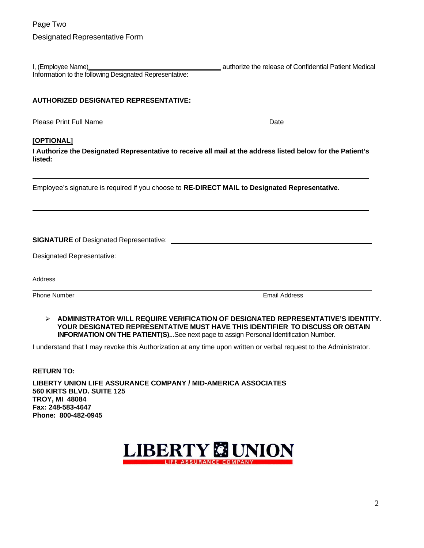I, (Employee Name) and the release of Confidential Patient Medical in the release of Confidential Patient Medical Information to the following Designated Representative:

## **AUTHORIZED DESIGNATED REPRESENTATIVE:**

Please Print Full Name **Date** Date **Date** 

# **[OPTIONAL]**

**I Authorize the Designated Representative to receive all mail at the address listed below for the Patient's listed:**

Employee's signature is required if you choose to **RE-DIRECT MAIL to Designated Representative.**

**SIGNATURE** of Designated Representative:

|  | Designated Representative: |
|--|----------------------------|
|--|----------------------------|

Address

Phone Number **Number 2008 Contract Contract Contract Contract Contract Contract Contract Contract Contract Contract Contract Contract Contract Contract Contract Contract Contract Contract Contract Contract Contract Contr** 

 **ADMINISTRATOR WILL REQUIRE VERIFICATION OF DESIGNATED REPRESENTATIVE'S IDENTITY. YOUR DESIGNATED REPRESENTATIVE MUST HAVE THIS IDENTIFIER TO DISCUSS OR OBTAIN INFORMATION ON THE PATIENT(S).**..See next page to assign Personal Identification Number.

I understand that I may revoke this Authorization at any time upon written or verbal request to the Administrator.

**RETURN TO:** 

**LIBERTY UNION LIFE ASSURANCE COMPANY / MID-AMERICA ASSOCIATES 560 KIRTS BLVD. SUITE 125 TROY, MI 48084 Fax: 248-583-4647 Phone: 800-482-0945** 

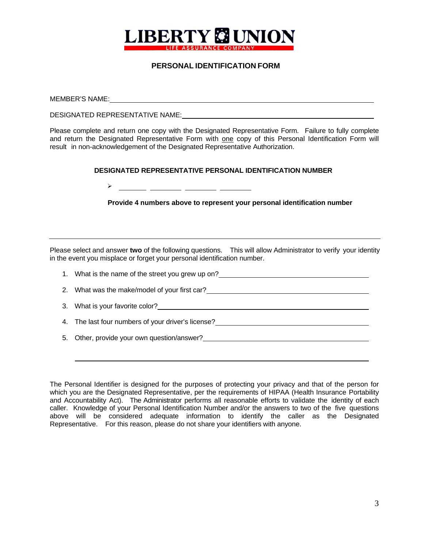

# **PERSONAL IDENTIFICATION FORM**

MEMBER'S NAME: DESIGNATED REPRESENTATIVE NAME: Please complete and return one copy with the Designated Representative Form. Failure to fully complete and return the Designated Representative Form with one copy of this Personal Identification Form will result in non-acknowledgement of the Designated Representative Authorization. **DESIGNATED REPRESENTATIVE PERSONAL IDENTIFICATION NUMBER** <u> 1990 - John Harry Barn, mars ar breist ar yn y breis</u> ➤ **Provide 4 numbers above to represent your personal identification number**  Please select and answer **two** of the following questions. This will allow Administrator to verify your identity in the event you misplace or forget your personal identification number. 1. What is the name of the street you grew up on? 2. What was the make/model of your first car? 3. What is your favorite color? 4. The last four numbers of your driver's license? 5. Other, provide your own question/answer?

The Personal Identifier is designed for the purposes of protecting your privacy and that of the person for which you are the Designated Representative, per the requirements of HIPAA (Health Insurance Portability and Accountability Act). The Administrator performs all reasonable efforts to validate the identity of each caller. Knowledge of your Personal Identification Number and/or the answers to two of the five questions above will be considered adequate information to identify the caller as the Designated Representative. For this reason, please do not share your identifiers with anyone.